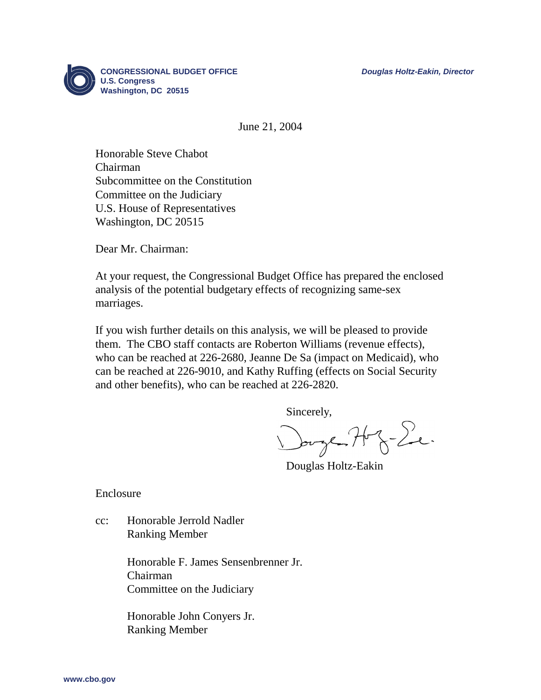

June 21, 2004

Honorable Steve Chabot Chairman Subcommittee on the Constitution Committee on the Judiciary U.S. House of Representatives Washington, DC 20515

Dear Mr. Chairman:

At your request, the Congressional Budget Office has prepared the enclosed analysis of the potential budgetary effects of recognizing same-sex marriages.

If you wish further details on this analysis, we will be pleased to provide them. The CBO staff contacts are Roberton Williams (revenue effects), who can be reached at 226-2680, Jeanne De Sa (impact on Medicaid), who can be reached at 226-9010, and Kathy Ruffing (effects on Social Security and other benefits), who can be reached at 226-2820.

Sincerely,

Douge H z- Le.

Douglas Holtz-Eakin

Enclosure

cc: Honorable Jerrold Nadler Ranking Member

> Honorable F. James Sensenbrenner Jr. Chairman Committee on the Judiciary

Honorable John Conyers Jr. Ranking Member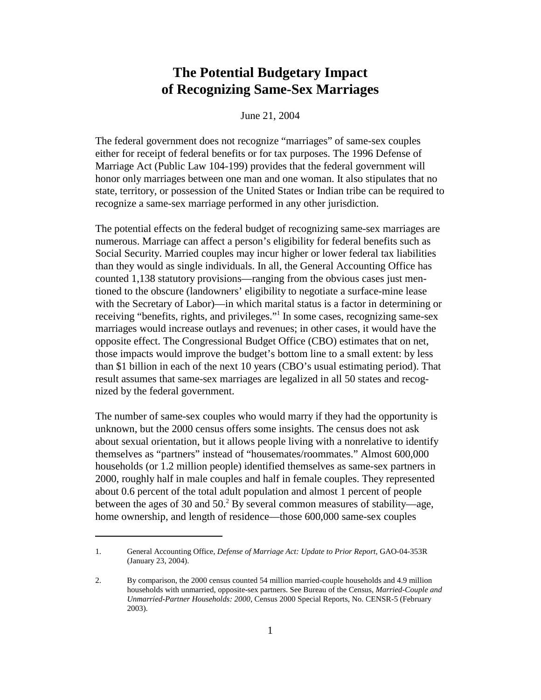# **The Potential Budgetary Impact of Recognizing Same-Sex Marriages**

### June 21, 2004

The federal government does not recognize "marriages" of same-sex couples either for receipt of federal benefits or for tax purposes. The 1996 Defense of Marriage Act (Public Law 104-199) provides that the federal government will honor only marriages between one man and one woman. It also stipulates that no state, territory, or possession of the United States or Indian tribe can be required to recognize a same-sex marriage performed in any other jurisdiction.

The potential effects on the federal budget of recognizing same-sex marriages are numerous. Marriage can affect a person's eligibility for federal benefits such as Social Security. Married couples may incur higher or lower federal tax liabilities than they would as single individuals. In all, the General Accounting Office has counted 1,138 statutory provisions—ranging from the obvious cases just mentioned to the obscure (landowners' eligibility to negotiate a surface-mine lease with the Secretary of Labor)—in which marital status is a factor in determining or receiving "benefits, rights, and privileges."1 In some cases, recognizing same-sex marriages would increase outlays and revenues; in other cases, it would have the opposite effect. The Congressional Budget Office (CBO) estimates that on net, those impacts would improve the budget's bottom line to a small extent: by less than \$1 billion in each of the next 10 years (CBO's usual estimating period). That result assumes that same-sex marriages are legalized in all 50 states and recognized by the federal government.

The number of same-sex couples who would marry if they had the opportunity is unknown, but the 2000 census offers some insights. The census does not ask about sexual orientation, but it allows people living with a nonrelative to identify themselves as "partners" instead of "housemates/roommates." Almost 600,000 households (or 1.2 million people) identified themselves as same-sex partners in 2000, roughly half in male couples and half in female couples. They represented about 0.6 percent of the total adult population and almost 1 percent of people between the ages of 30 and  $50<sup>2</sup>$  By several common measures of stability—age, home ownership, and length of residence—those 600,000 same-sex couples

<sup>1.</sup> General Accounting Office, *Defense of Marriage Act: Update to Prior Report*, GAO-04-353R (January 23, 2004).

<sup>2.</sup> By comparison, the 2000 census counted 54 million married-couple households and 4.9 million households with unmarried, opposite-sex partners. See Bureau of the Census, *Married-Couple and Unmarried-Partner Households: 2000*, Census 2000 Special Reports, No. CENSR-5 (February 2003).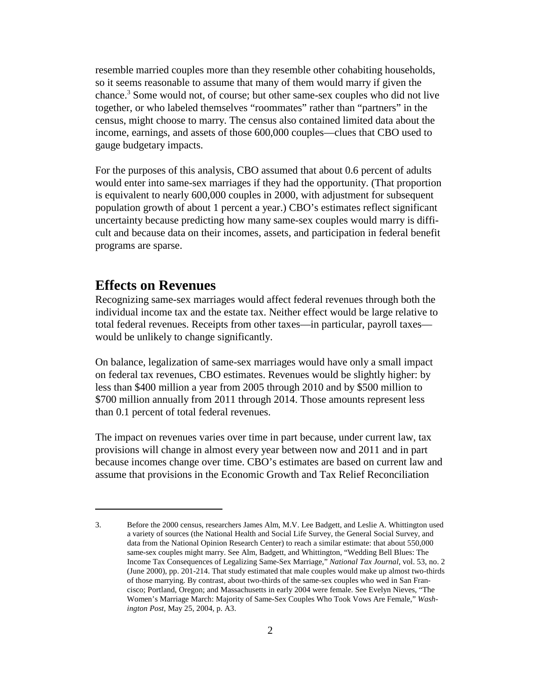resemble married couples more than they resemble other cohabiting households, so it seems reasonable to assume that many of them would marry if given the chance.3 Some would not, of course; but other same-sex couples who did not live together, or who labeled themselves "roommates" rather than "partners" in the census, might choose to marry. The census also contained limited data about the income, earnings, and assets of those 600,000 couples—clues that CBO used to gauge budgetary impacts.

For the purposes of this analysis, CBO assumed that about 0.6 percent of adults would enter into same-sex marriages if they had the opportunity. (That proportion is equivalent to nearly 600,000 couples in 2000, with adjustment for subsequent population growth of about 1 percent a year.) CBO's estimates reflect significant uncertainty because predicting how many same-sex couples would marry is difficult and because data on their incomes, assets, and participation in federal benefit programs are sparse.

# **Effects on Revenues**

Recognizing same-sex marriages would affect federal revenues through both the individual income tax and the estate tax. Neither effect would be large relative to total federal revenues. Receipts from other taxes—in particular, payroll taxes would be unlikely to change significantly.

On balance, legalization of same-sex marriages would have only a small impact on federal tax revenues, CBO estimates. Revenues would be slightly higher: by less than \$400 million a year from 2005 through 2010 and by \$500 million to \$700 million annually from 2011 through 2014. Those amounts represent less than 0.1 percent of total federal revenues.

The impact on revenues varies over time in part because, under current law, tax provisions will change in almost every year between now and 2011 and in part because incomes change over time. CBO's estimates are based on current law and assume that provisions in the Economic Growth and Tax Relief Reconciliation

<sup>3.</sup> Before the 2000 census, researchers James Alm, M.V. Lee Badgett, and Leslie A. Whittington used a variety of sources (the National Health and Social Life Survey, the General Social Survey, and data from the National Opinion Research Center) to reach a similar estimate: that about 550,000 same-sex couples might marry. See Alm, Badgett, and Whittington, "Wedding Bell Blues: The Income Tax Consequences of Legalizing Same-Sex Marriage," *National Tax Journal*, vol. 53, no. 2 (June 2000), pp. 201-214. That study estimated that male couples would make up almost two-thirds of those marrying. By contrast, about two-thirds of the same-sex couples who wed in San Francisco; Portland, Oregon; and Massachusetts in early 2004 were female. See Evelyn Nieves, "The Women's Marriage March: Majority of Same-Sex Couples Who Took Vows Are Female," *Washington Post*, May 25, 2004, p. A3.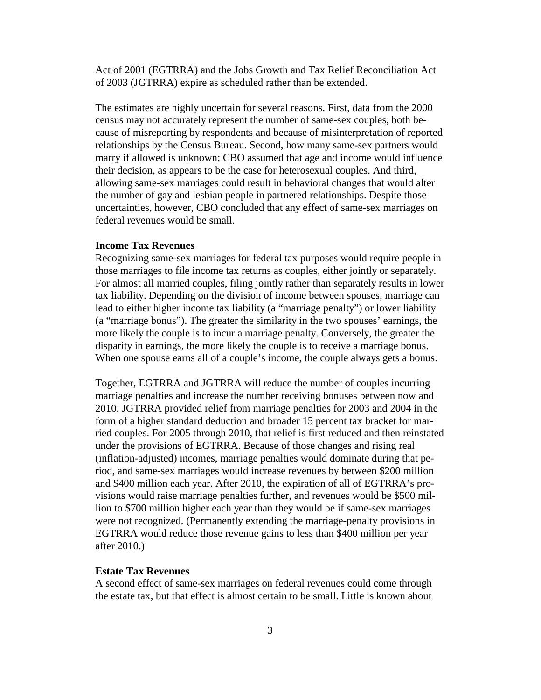Act of 2001 (EGTRRA) and the Jobs Growth and Tax Relief Reconciliation Act of 2003 (JGTRRA) expire as scheduled rather than be extended.

The estimates are highly uncertain for several reasons. First, data from the 2000 census may not accurately represent the number of same-sex couples, both because of misreporting by respondents and because of misinterpretation of reported relationships by the Census Bureau. Second, how many same-sex partners would marry if allowed is unknown; CBO assumed that age and income would influence their decision, as appears to be the case for heterosexual couples. And third, allowing same-sex marriages could result in behavioral changes that would alter the number of gay and lesbian people in partnered relationships. Despite those uncertainties, however, CBO concluded that any effect of same-sex marriages on federal revenues would be small.

### **Income Tax Revenues**

Recognizing same-sex marriages for federal tax purposes would require people in those marriages to file income tax returns as couples, either jointly or separately. For almost all married couples, filing jointly rather than separately results in lower tax liability. Depending on the division of income between spouses, marriage can lead to either higher income tax liability (a "marriage penalty") or lower liability (a "marriage bonus"). The greater the similarity in the two spouses' earnings, the more likely the couple is to incur a marriage penalty. Conversely, the greater the disparity in earnings, the more likely the couple is to receive a marriage bonus. When one spouse earns all of a couple's income, the couple always gets a bonus.

Together, EGTRRA and JGTRRA will reduce the number of couples incurring marriage penalties and increase the number receiving bonuses between now and 2010. JGTRRA provided relief from marriage penalties for 2003 and 2004 in the form of a higher standard deduction and broader 15 percent tax bracket for married couples. For 2005 through 2010, that relief is first reduced and then reinstated under the provisions of EGTRRA. Because of those changes and rising real (inflation-adjusted) incomes, marriage penalties would dominate during that period, and same-sex marriages would increase revenues by between \$200 million and \$400 million each year. After 2010, the expiration of all of EGTRRA's provisions would raise marriage penalties further, and revenues would be \$500 million to \$700 million higher each year than they would be if same-sex marriages were not recognized. (Permanently extending the marriage-penalty provisions in EGTRRA would reduce those revenue gains to less than \$400 million per year after 2010.)

#### **Estate Tax Revenues**

A second effect of same-sex marriages on federal revenues could come through the estate tax, but that effect is almost certain to be small. Little is known about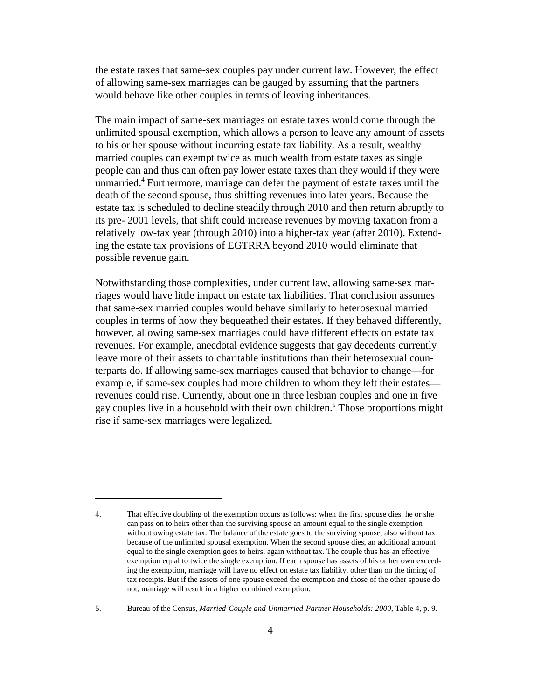the estate taxes that same-sex couples pay under current law. However, the effect of allowing same-sex marriages can be gauged by assuming that the partners would behave like other couples in terms of leaving inheritances.

The main impact of same-sex marriages on estate taxes would come through the unlimited spousal exemption, which allows a person to leave any amount of assets to his or her spouse without incurring estate tax liability. As a result, wealthy married couples can exempt twice as much wealth from estate taxes as single people can and thus can often pay lower estate taxes than they would if they were unmarried.4 Furthermore, marriage can defer the payment of estate taxes until the death of the second spouse, thus shifting revenues into later years. Because the estate tax is scheduled to decline steadily through 2010 and then return abruptly to its pre- 2001 levels, that shift could increase revenues by moving taxation from a relatively low-tax year (through 2010) into a higher-tax year (after 2010). Extending the estate tax provisions of EGTRRA beyond 2010 would eliminate that possible revenue gain.

Notwithstanding those complexities, under current law, allowing same-sex marriages would have little impact on estate tax liabilities. That conclusion assumes that same-sex married couples would behave similarly to heterosexual married couples in terms of how they bequeathed their estates. If they behaved differently, however, allowing same-sex marriages could have different effects on estate tax revenues. For example, anecdotal evidence suggests that gay decedents currently leave more of their assets to charitable institutions than their heterosexual counterparts do. If allowing same-sex marriages caused that behavior to change—for example, if same-sex couples had more children to whom they left their estates revenues could rise. Currently, about one in three lesbian couples and one in five gay couples live in a household with their own children.5 Those proportions might rise if same-sex marriages were legalized.

<sup>4.</sup> That effective doubling of the exemption occurs as follows: when the first spouse dies, he or she can pass on to heirs other than the surviving spouse an amount equal to the single exemption without owing estate tax. The balance of the estate goes to the surviving spouse, also without tax because of the unlimited spousal exemption. When the second spouse dies, an additional amount equal to the single exemption goes to heirs, again without tax. The couple thus has an effective exemption equal to twice the single exemption. If each spouse has assets of his or her own exceeding the exemption, marriage will have no effect on estate tax liability, other than on the timing of tax receipts. But if the assets of one spouse exceed the exemption and those of the other spouse do not, marriage will result in a higher combined exemption.

<sup>5.</sup> Bureau of the Census, *Married-Couple and Unmarried-Partner Households: 2000*, Table 4, p. 9.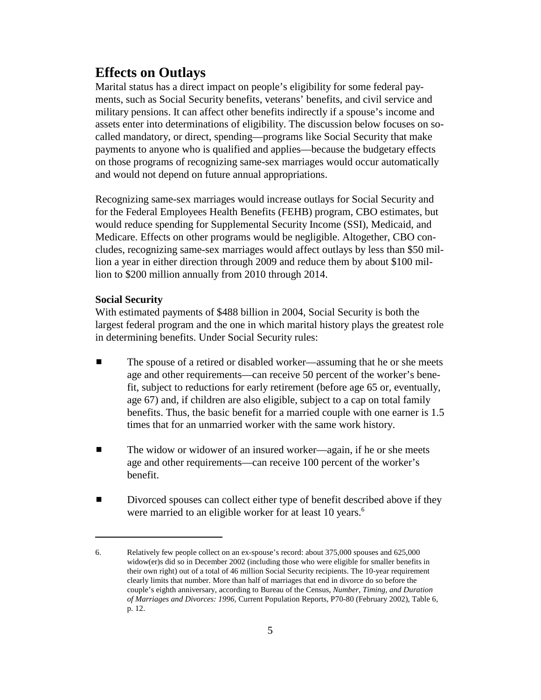# **Effects on Outlays**

Marital status has a direct impact on people's eligibility for some federal payments, such as Social Security benefits, veterans' benefits, and civil service and military pensions. It can affect other benefits indirectly if a spouse's income and assets enter into determinations of eligibility. The discussion below focuses on socalled mandatory, or direct, spending—programs like Social Security that make payments to anyone who is qualified and applies—because the budgetary effects on those programs of recognizing same-sex marriages would occur automatically and would not depend on future annual appropriations.

Recognizing same-sex marriages would increase outlays for Social Security and for the Federal Employees Health Benefits (FEHB) program, CBO estimates, but would reduce spending for Supplemental Security Income (SSI), Medicaid, and Medicare. Effects on other programs would be negligible. Altogether, CBO concludes, recognizing same-sex marriages would affect outlays by less than \$50 million a year in either direction through 2009 and reduce them by about \$100 million to \$200 million annually from 2010 through 2014.

#### **Social Security**

With estimated payments of \$488 billion in 2004, Social Security is both the largest federal program and the one in which marital history plays the greatest role in determining benefits. Under Social Security rules:

- The spouse of a retired or disabled worker—assuming that he or she meets age and other requirements—can receive 50 percent of the worker's benefit, subject to reductions for early retirement (before age 65 or, eventually, age 67) and, if children are also eligible, subject to a cap on total family benefits. Thus, the basic benefit for a married couple with one earner is 1.5 times that for an unmarried worker with the same work history.
- The widow or widower of an insured worker—again, if he or she meets age and other requirements—can receive 100 percent of the worker's benefit.
- **EXECUTE:** Divorced spouses can collect either type of benefit described above if they were married to an eligible worker for at least 10 years.<sup>6</sup>

<sup>6.</sup> Relatively few people collect on an ex-spouse's record: about 375,000 spouses and 625,000 widow(er)s did so in December 2002 (including those who were eligible for smaller benefits in their own right) out of a total of 46 million Social Security recipients. The 10-year requirement clearly limits that number. More than half of marriages that end in divorce do so before the couple's eighth anniversary, according to Bureau of the Census, *Number, Timing, and Duration of Marriages and Divorces: 1996*, Current Population Reports, P70-80 (February 2002), Table 6, p. 12.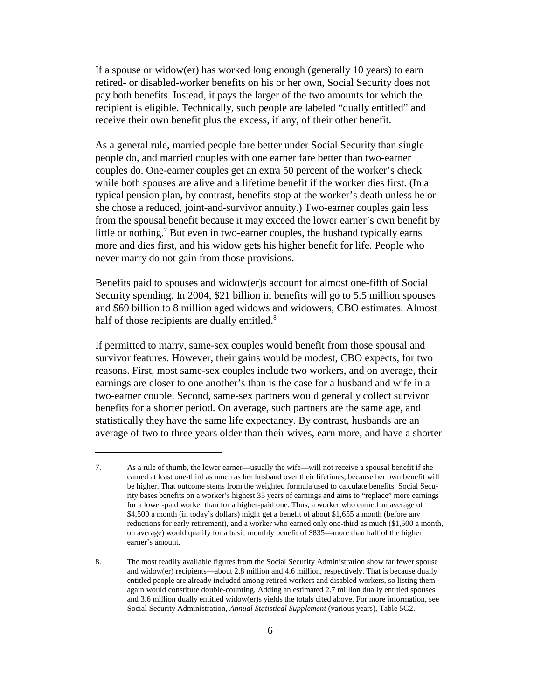If a spouse or widow(er) has worked long enough (generally 10 years) to earn retired- or disabled-worker benefits on his or her own, Social Security does not pay both benefits. Instead, it pays the larger of the two amounts for which the recipient is eligible. Technically, such people are labeled "dually entitled" and receive their own benefit plus the excess, if any, of their other benefit.

As a general rule, married people fare better under Social Security than single people do, and married couples with one earner fare better than two-earner couples do. One-earner couples get an extra 50 percent of the worker's check while both spouses are alive and a lifetime benefit if the worker dies first. (In a typical pension plan, by contrast, benefits stop at the worker's death unless he or she chose a reduced, joint-and-survivor annuity.) Two-earner couples gain less from the spousal benefit because it may exceed the lower earner's own benefit by little or nothing.<sup>7</sup> But even in two-earner couples, the husband typically earns more and dies first, and his widow gets his higher benefit for life. People who never marry do not gain from those provisions.

Benefits paid to spouses and widow(er)s account for almost one-fifth of Social Security spending. In 2004, \$21 billion in benefits will go to 5.5 million spouses and \$69 billion to 8 million aged widows and widowers, CBO estimates. Almost half of those recipients are dually entitled.<sup>8</sup>

If permitted to marry, same-sex couples would benefit from those spousal and survivor features. However, their gains would be modest, CBO expects, for two reasons. First, most same-sex couples include two workers, and on average, their earnings are closer to one another's than is the case for a husband and wife in a two-earner couple. Second, same-sex partners would generally collect survivor benefits for a shorter period. On average, such partners are the same age, and statistically they have the same life expectancy. By contrast, husbands are an average of two to three years older than their wives, earn more, and have a shorter

<sup>7.</sup> As a rule of thumb, the lower earner—usually the wife—will not receive a spousal benefit if she earned at least one-third as much as her husband over their lifetimes, because her own benefit will be higher. That outcome stems from the weighted formula used to calculate benefits. Social Security bases benefits on a worker's highest 35 years of earnings and aims to "replace" more earnings for a lower-paid worker than for a higher-paid one. Thus, a worker who earned an average of \$4,500 a month (in today's dollars) might get a benefit of about \$1,655 a month (before any reductions for early retirement), and a worker who earned only one-third as much (\$1,500 a month, on average) would qualify for a basic monthly benefit of \$835—more than half of the higher earner's amount.

<sup>8.</sup> The most readily available figures from the Social Security Administration show far fewer spouse and widow(er) recipients—about 2.8 million and 4.6 million, respectively. That is because dually entitled people are already included among retired workers and disabled workers, so listing them again would constitute double-counting. Adding an estimated 2.7 million dually entitled spouses and 3.6 million dually entitled widow(er)s yields the totals cited above. For more information, see Social Security Administration, *Annual Statistical Supplement* (various years), Table 5G2.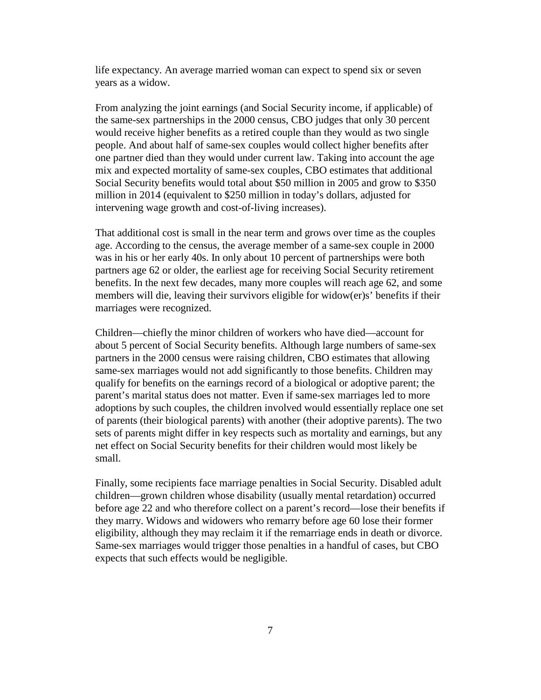life expectancy. An average married woman can expect to spend six or seven years as a widow.

From analyzing the joint earnings (and Social Security income, if applicable) of the same-sex partnerships in the 2000 census, CBO judges that only 30 percent would receive higher benefits as a retired couple than they would as two single people. And about half of same-sex couples would collect higher benefits after one partner died than they would under current law. Taking into account the age mix and expected mortality of same-sex couples, CBO estimates that additional Social Security benefits would total about \$50 million in 2005 and grow to \$350 million in 2014 (equivalent to \$250 million in today's dollars, adjusted for intervening wage growth and cost-of-living increases).

That additional cost is small in the near term and grows over time as the couples age. According to the census, the average member of a same-sex couple in 2000 was in his or her early 40s. In only about 10 percent of partnerships were both partners age 62 or older, the earliest age for receiving Social Security retirement benefits. In the next few decades, many more couples will reach age 62, and some members will die, leaving their survivors eligible for widow(er)s' benefits if their marriages were recognized.

Children—chiefly the minor children of workers who have died—account for about 5 percent of Social Security benefits. Although large numbers of same-sex partners in the 2000 census were raising children, CBO estimates that allowing same-sex marriages would not add significantly to those benefits. Children may qualify for benefits on the earnings record of a biological or adoptive parent; the parent's marital status does not matter. Even if same-sex marriages led to more adoptions by such couples, the children involved would essentially replace one set of parents (their biological parents) with another (their adoptive parents). The two sets of parents might differ in key respects such as mortality and earnings, but any net effect on Social Security benefits for their children would most likely be small.

Finally, some recipients face marriage penalties in Social Security. Disabled adult children—grown children whose disability (usually mental retardation) occurred before age 22 and who therefore collect on a parent's record—lose their benefits if they marry. Widows and widowers who remarry before age 60 lose their former eligibility, although they may reclaim it if the remarriage ends in death or divorce. Same-sex marriages would trigger those penalties in a handful of cases, but CBO expects that such effects would be negligible.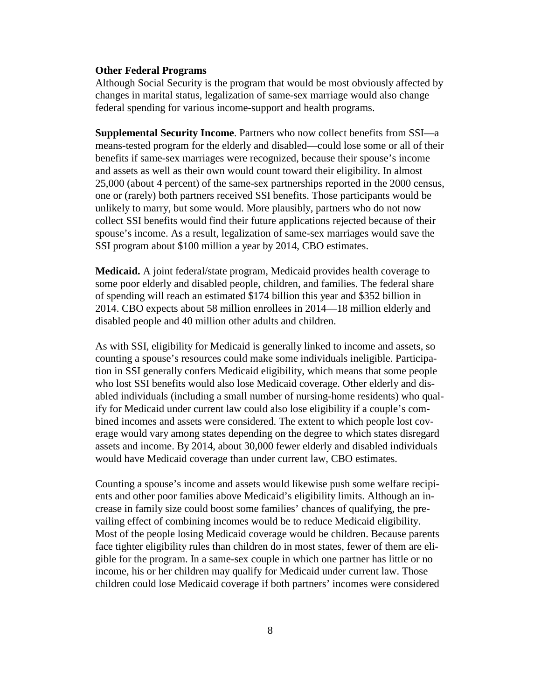#### **Other Federal Programs**

Although Social Security is the program that would be most obviously affected by changes in marital status, legalization of same-sex marriage would also change federal spending for various income-support and health programs.

**Supplemental Security Income**. Partners who now collect benefits from SSI—a means-tested program for the elderly and disabled—could lose some or all of their benefits if same-sex marriages were recognized, because their spouse's income and assets as well as their own would count toward their eligibility. In almost 25,000 (about 4 percent) of the same-sex partnerships reported in the 2000 census, one or (rarely) both partners received SSI benefits. Those participants would be unlikely to marry, but some would. More plausibly, partners who do not now collect SSI benefits would find their future applications rejected because of their spouse's income. As a result, legalization of same-sex marriages would save the SSI program about \$100 million a year by 2014, CBO estimates.

**Medicaid.** A joint federal/state program, Medicaid provides health coverage to some poor elderly and disabled people, children, and families. The federal share of spending will reach an estimated \$174 billion this year and \$352 billion in 2014. CBO expects about 58 million enrollees in 2014—18 million elderly and disabled people and 40 million other adults and children.

As with SSI, eligibility for Medicaid is generally linked to income and assets, so counting a spouse's resources could make some individuals ineligible. Participation in SSI generally confers Medicaid eligibility, which means that some people who lost SSI benefits would also lose Medicaid coverage. Other elderly and disabled individuals (including a small number of nursing-home residents) who qualify for Medicaid under current law could also lose eligibility if a couple's combined incomes and assets were considered. The extent to which people lost coverage would vary among states depending on the degree to which states disregard assets and income. By 2014, about 30,000 fewer elderly and disabled individuals would have Medicaid coverage than under current law, CBO estimates.

Counting a spouse's income and assets would likewise push some welfare recipients and other poor families above Medicaid's eligibility limits. Although an increase in family size could boost some families' chances of qualifying, the prevailing effect of combining incomes would be to reduce Medicaid eligibility. Most of the people losing Medicaid coverage would be children. Because parents face tighter eligibility rules than children do in most states, fewer of them are eligible for the program. In a same-sex couple in which one partner has little or no income, his or her children may qualify for Medicaid under current law. Those children could lose Medicaid coverage if both partners' incomes were considered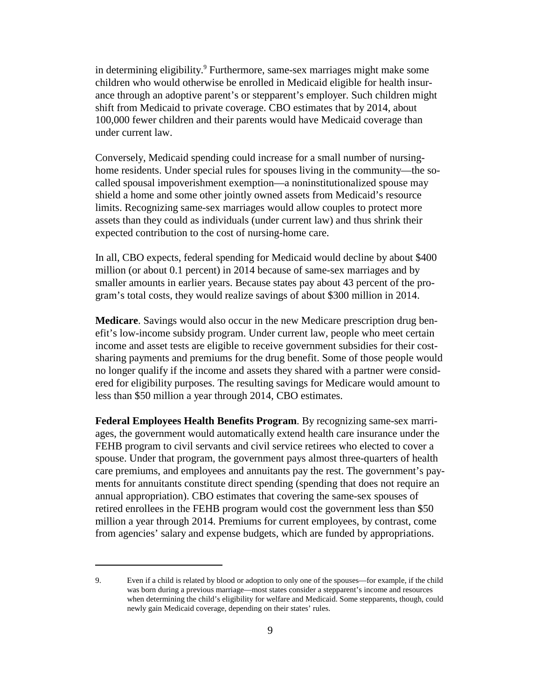in determining eligibility.<sup>9</sup> Furthermore, same-sex marriages might make some children who would otherwise be enrolled in Medicaid eligible for health insurance through an adoptive parent's or stepparent's employer. Such children might shift from Medicaid to private coverage. CBO estimates that by 2014, about 100,000 fewer children and their parents would have Medicaid coverage than under current law.

Conversely, Medicaid spending could increase for a small number of nursinghome residents. Under special rules for spouses living in the community—the socalled spousal impoverishment exemption—a noninstitutionalized spouse may shield a home and some other jointly owned assets from Medicaid's resource limits. Recognizing same-sex marriages would allow couples to protect more assets than they could as individuals (under current law) and thus shrink their expected contribution to the cost of nursing-home care.

In all, CBO expects, federal spending for Medicaid would decline by about \$400 million (or about 0.1 percent) in 2014 because of same-sex marriages and by smaller amounts in earlier years. Because states pay about 43 percent of the program's total costs, they would realize savings of about \$300 million in 2014.

**Medicare**. Savings would also occur in the new Medicare prescription drug benefit's low-income subsidy program. Under current law, people who meet certain income and asset tests are eligible to receive government subsidies for their costsharing payments and premiums for the drug benefit. Some of those people would no longer qualify if the income and assets they shared with a partner were considered for eligibility purposes. The resulting savings for Medicare would amount to less than \$50 million a year through 2014, CBO estimates.

**Federal Employees Health Benefits Program**. By recognizing same-sex marriages, the government would automatically extend health care insurance under the FEHB program to civil servants and civil service retirees who elected to cover a spouse. Under that program, the government pays almost three-quarters of health care premiums, and employees and annuitants pay the rest. The government's payments for annuitants constitute direct spending (spending that does not require an annual appropriation). CBO estimates that covering the same-sex spouses of retired enrollees in the FEHB program would cost the government less than \$50 million a year through 2014. Premiums for current employees, by contrast, come from agencies' salary and expense budgets, which are funded by appropriations.

<sup>9.</sup> Even if a child is related by blood or adoption to only one of the spouses—for example, if the child was born during a previous marriage—most states consider a stepparent's income and resources when determining the child's eligibility for welfare and Medicaid. Some stepparents, though, could newly gain Medicaid coverage, depending on their states' rules.